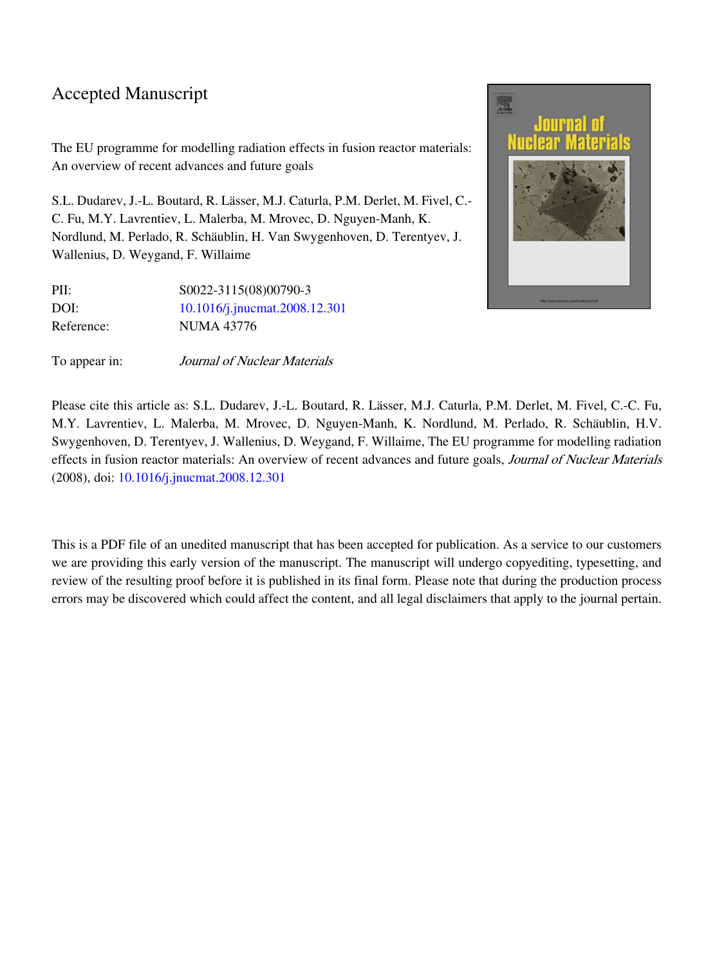## Accepted Manuscript

The EU programme for modelling radiation effects in fusion reactor materials: An overview of recent advances and future goals

S.L. Dudarev, J.-L. Boutard, R. Lässer, M.J. Caturla, P.M. Derlet, M. Fivel, C.- C. Fu, M.Y. Lavrentiev, L. Malerba, M. Mrovec, D. Nguyen-Manh, K. Nordlund, M. Perlado, R. Schäublin, H. Van Swygenhoven, D. Terentyev, J. Wallenius, D. Weygand, F. Willaime

PII: S0022-3115(08)00790-3 DOI: [10.1016/j.jnucmat.2008.12.301](http://dx.doi.org/10.1016/j.jnucmat.2008.12.301) Reference: NUMA 43776

To appear in: *Journal of Nuclear Materials* 



Please cite this article as: S.L. Dudarev, J.-L. Boutard, R. Lässer, M.J. Caturla, P.M. Derlet, M. Fivel, C.-C. Fu, M.Y. Lavrentiev, L. Malerba, M. Mrovec, D. Nguyen-Manh, K. Nordlund, M. Perlado, R. Schäublin, H.V. Swygenhoven, D. Terentyev, J. Wallenius, D. Weygand, F. Willaime, The EU programme for modelling radiation effects in fusion reactor materials: An overview of recent advances and future goals, *Journal of Nuclear Materials* (2008), doi: [10.1016/j.jnucmat.2008.12.301](http://dx.doi.org/10.1016/j.jnucmat.2008.12.301)

This is a PDF file of an unedited manuscript that has been accepted for publication. As a service to our customers we are providing this early version of the manuscript. The manuscript will undergo copyediting, typesetting, and review of the resulting proof before it is published in its final form. Please note that during the production process errors may be discovered which could affect the content, and all legal disclaimers that apply to the journal pertain.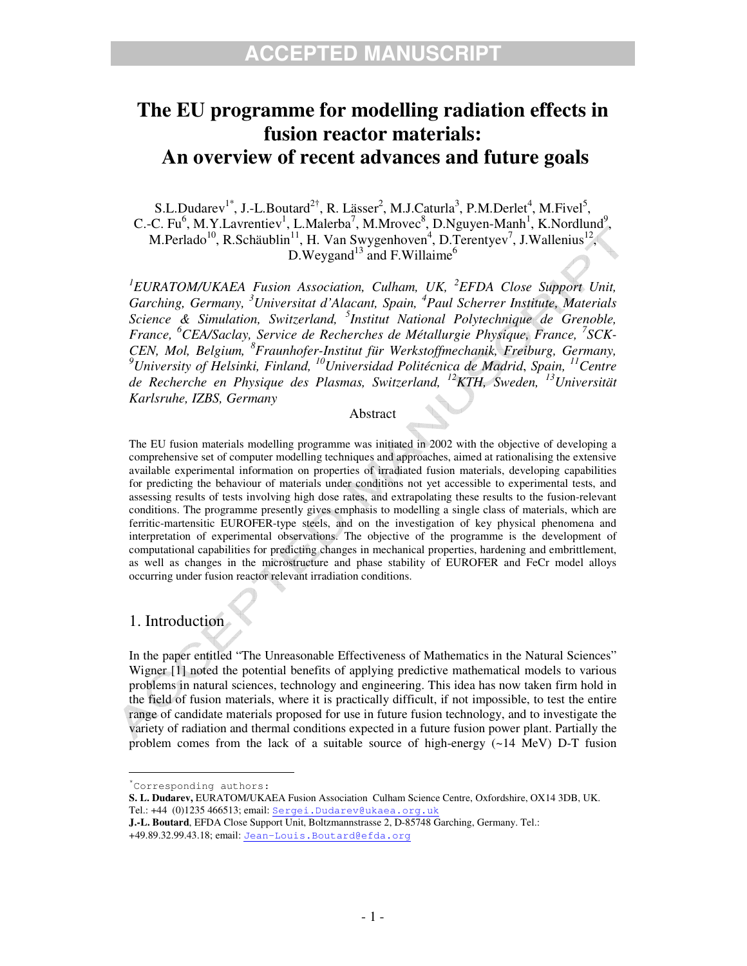# **The EU programme for modelling radiation effects in fusion reactor materials: An overview of recent advances and future goals**

S.L.Dudarev<sup>1\*</sup>, J.-L.Boutard<sup>2†</sup>, R. Lässer<sup>2</sup>, M.J.Caturla<sup>3</sup>, P.M.Derlet<sup>4</sup>, M.Fivel<sup>5</sup>, C.-C. Fu<sup>6</sup>, M.Y.Lavrentiev<sup>1</sup>, L.Malerba<sup>7</sup>, M.Mrovec<sup>8</sup>, D.Nguyen-Manh<sup>1</sup>, K.Nordlund<sup>9</sup>, M.Perlado<sup>10</sup>, R.Schäublin<sup>11</sup>, H. Van Swygenhoven<sup>4</sup>, D.Terentyev<sup>7</sup>, J.Wallenius<sup>12</sup>, D.Weygand<sup>13</sup> and F.Willaime<sup>6</sup>

*<sup>1</sup>EURATOM/UKAEA Fusion Association, Culham, UK, <sup>2</sup>EFDA Close Support Unit, Garching, Germany, <sup>3</sup>Universitat d'Alacant, Spain, <sup>4</sup>Paul Scherrer Institute, Materials Science & Simulation, Switzerland, 5 Institut National Polytechnique de Grenoble, France, <sup>6</sup>CEA/Saclay, Service de Recherches de Métallurgie Physique, France, 7 SCK-CEN, Mol, Belgium, <sup>8</sup>Fraunhofer-Institut für Werkstoffmechanik, Freiburg, Germany, <sup>9</sup>University of Helsinki, Finland, <sup>10</sup>Universidad Politécnica de Madrid*, *Spain, <sup>11</sup>Centre de Recherche en Physique des Plasmas, Switzerland, <sup>12</sup>KTH, Sweden, <sup>13</sup>Universität Karlsruhe, IZBS, Germany*

#### Abstract

The EU fusion materials modelling programme was initiated in 2002 with the objective of developing a comprehensive set of computer modelling techniques and approaches, aimed at rationalising the extensive available experimental information on properties of irradiated fusion materials, developing capabilities for predicting the behaviour of materials under conditions not yet accessible to experimental tests, and assessing results of tests involving high dose rates, and extrapolating these results to the fusion-relevant conditions. The programme presently gives emphasis to modelling a single class of materials, which are ferritic-martensitic EUROFER-type steels, and on the investigation of key physical phenomena and interpretation of experimental observations. The objective of the programme is the development of computational capabilities for predicting changes in mechanical properties, hardening and embrittlement, as well as changes in the microstructure and phase stability of EUROFER and FeCr model alloys occurring under fusion reactor relevant irradiation conditions.

#### 1. Introduction

In the paper entitled "The Unreasonable Effectiveness of Mathematics in the Natural Sciences" Wigner [1] noted the potential benefits of applying predictive mathematical models to various problems in natural sciences, technology and engineering. This idea has now taken firm hold in the field of fusion materials, where it is practically difficult, if not impossible, to test the entire range of candidate materials proposed for use in future fusion technology, and to investigate the variety of radiation and thermal conditions expected in a future fusion power plant. Partially the problem comes from the lack of a suitable source of high-energy  $(\sim 14 \text{ MeV})$  D-T fusion

**S. L. Dudarev,** EURATOM/UKAEA Fusion Association Culham Science Centre, Oxfordshire, OX14 3DB, UK. Tel.: +44 (0)1235 466513; email: Sergei.Dudarev@ukaea.org.uk

<sup>\*</sup>Corresponding authors:

**J.-L. Boutard**, EFDA Close Support Unit, Boltzmannstrasse 2, D-85748 Garching, Germany. Tel.:

<sup>+49.89.32.99.43.18;</sup> email: Jean-Louis.Boutard@efda.org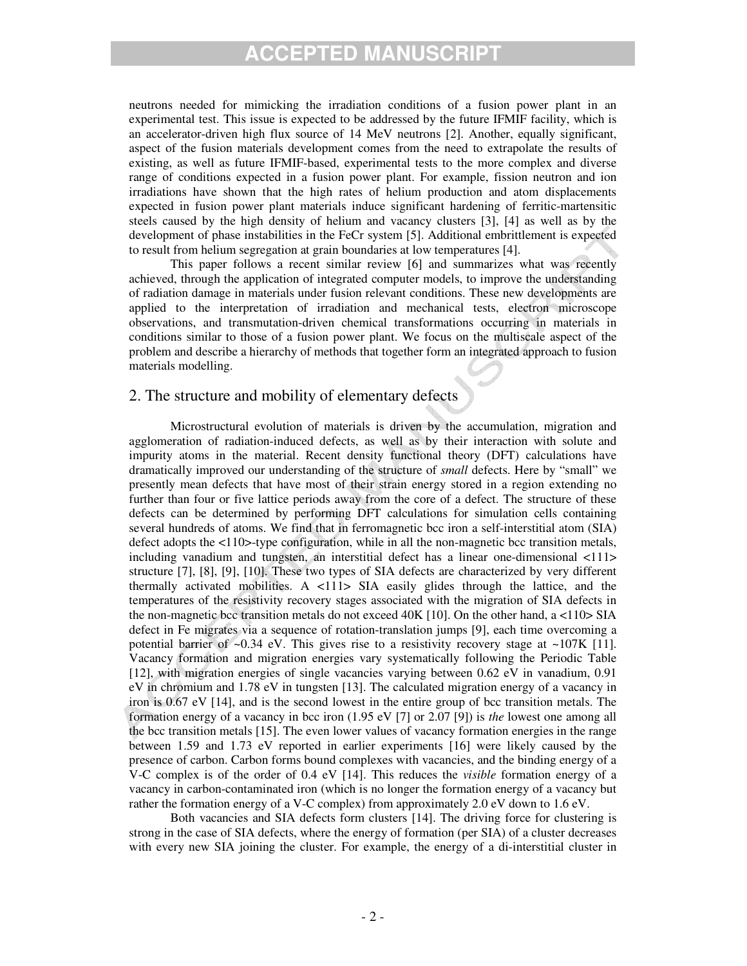neutrons needed for mimicking the irradiation conditions of a fusion power plant in an experimental test. This issue is expected to be addressed by the future IFMIF facility, which is an accelerator-driven high flux source of 14 MeV neutrons [2]. Another, equally significant, aspect of the fusion materials development comes from the need to extrapolate the results of existing, as well as future IFMIF-based, experimental tests to the more complex and diverse range of conditions expected in a fusion power plant. For example, fission neutron and ion irradiations have shown that the high rates of helium production and atom displacements expected in fusion power plant materials induce significant hardening of ferritic-martensitic steels caused by the high density of helium and vacancy clusters [3], [4] as well as by the development of phase instabilities in the FeCr system [5]. Additional embrittlement is expected to result from helium segregation at grain boundaries at low temperatures [4].

This paper follows a recent similar review [6] and summarizes what was recently achieved, through the application of integrated computer models, to improve the understanding of radiation damage in materials under fusion relevant conditions. These new developments are applied to the interpretation of irradiation and mechanical tests, electron microscope observations, and transmutation-driven chemical transformations occurring in materials in conditions similar to those of a fusion power plant. We focus on the multiscale aspect of the problem and describe a hierarchy of methods that together form an integrated approach to fusion materials modelling.

#### 2. The structure and mobility of elementary defects

Microstructural evolution of materials is driven by the accumulation, migration and agglomeration of radiation-induced defects, as well as by their interaction with solute and impurity atoms in the material. Recent density functional theory (DFT) calculations have dramatically improved our understanding of the structure of *small* defects. Here by "small" we presently mean defects that have most of their strain energy stored in a region extending no further than four or five lattice periods away from the core of a defect. The structure of these defects can be determined by performing DFT calculations for simulation cells containing several hundreds of atoms. We find that in ferromagnetic bcc iron a self-interstitial atom (SIA) defect adopts the <110>-type configuration, while in all the non-magnetic bcc transition metals, including vanadium and tungsten, an interstitial defect has a linear one-dimensional <111> structure [7], [8], [9], [10]. These two types of SIA defects are characterized by very different thermally activated mobilities. A <111> SIA easily glides through the lattice, and the temperatures of the resistivity recovery stages associated with the migration of SIA defects in the non-magnetic bcc transition metals do not exceed 40K [10]. On the other hand, a <110> SIA defect in Fe migrates via a sequence of rotation-translation jumps [9], each time overcoming a potential barrier of  $\sim 0.34$  eV. This gives rise to a resistivity recovery stage at  $\sim 107K$  [11]. Vacancy formation and migration energies vary systematically following the Periodic Table [12], with migration energies of single vacancies varying between 0.62 eV in vanadium, 0.91 eV in chromium and 1.78 eV in tungsten [13]. The calculated migration energy of a vacancy in iron is 0.67 eV [14], and is the second lowest in the entire group of bcc transition metals. The formation energy of a vacancy in bcc iron (1.95 eV [7] or 2.07 [9]) is *the* lowest one among all the bcc transition metals [15]. The even lower values of vacancy formation energies in the range between 1.59 and 1.73 eV reported in earlier experiments [16] were likely caused by the presence of carbon. Carbon forms bound complexes with vacancies, and the binding energy of a V-C complex is of the order of 0.4 eV [14]. This reduces the *visible* formation energy of a vacancy in carbon-contaminated iron (which is no longer the formation energy of a vacancy but rather the formation energy of a V-C complex) from approximately 2.0 eV down to 1.6 eV.

Both vacancies and SIA defects form clusters [14]. The driving force for clustering is strong in the case of SIA defects, where the energy of formation (per SIA) of a cluster decreases with every new SIA joining the cluster. For example, the energy of a di-interstitial cluster in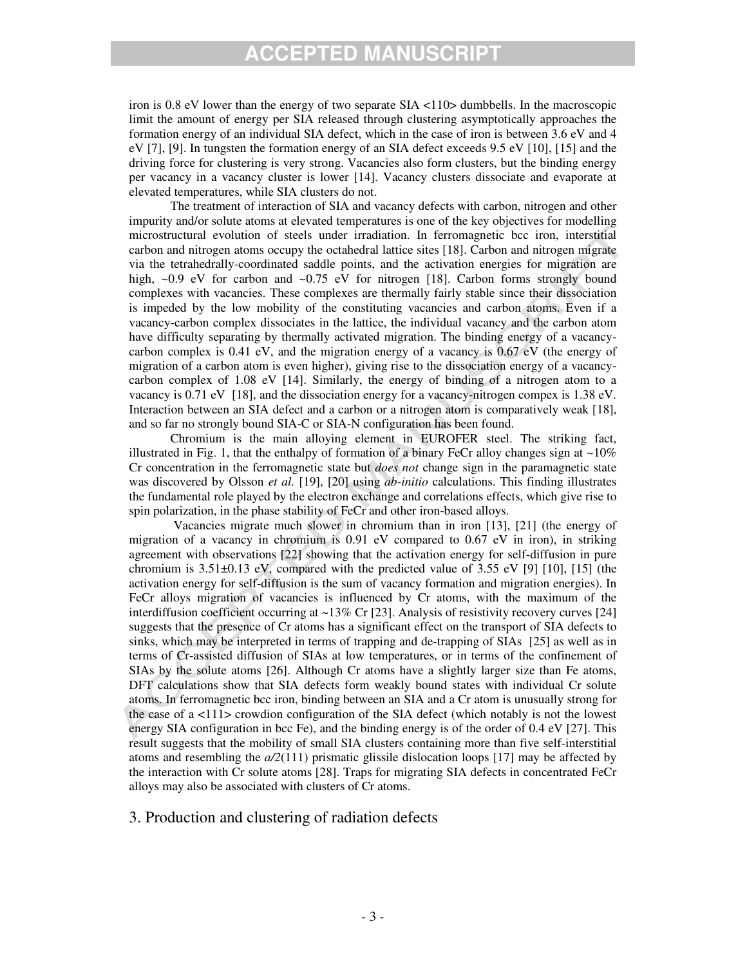iron is 0.8 eV lower than the energy of two separate SIA <110> dumbbells. In the macroscopic limit the amount of energy per SIA released through clustering asymptotically approaches the formation energy of an individual SIA defect, which in the case of iron is between 3.6 eV and 4 eV [7], [9]. In tungsten the formation energy of an SIA defect exceeds  $9.5$  eV [10], [15] and the driving force for clustering is very strong. Vacancies also form clusters, but the binding energy per vacancy in a vacancy cluster is lower [14]. Vacancy clusters dissociate and evaporate at elevated temperatures, while SIA clusters do not.

The treatment of interaction of SIA and vacancy defects with carbon, nitrogen and other impurity and/or solute atoms at elevated temperatures is one of the key objectives for modelling microstructural evolution of steels under irradiation. In ferromagnetic bcc iron, interstitial carbon and nitrogen atoms occupy the octahedral lattice sites [18]. Carbon and nitrogen migrate via the tetrahedrally-coordinated saddle points, and the activation energies for migration are high,  $\sim 0.9$  eV for carbon and  $\sim 0.75$  eV for nitrogen [18]. Carbon forms strongly bound complexes with vacancies. These complexes are thermally fairly stable since their dissociation is impeded by the low mobility of the constituting vacancies and carbon atoms. Even if a vacancy-carbon complex dissociates in the lattice, the individual vacancy and the carbon atom have difficulty separating by thermally activated migration. The binding energy of a vacancycarbon complex is  $0.41$  eV, and the migration energy of a vacancy is  $0.67$  eV (the energy of migration of a carbon atom is even higher), giving rise to the dissociation energy of a vacancycarbon complex of 1.08 eV [14]. Similarly, the energy of binding of a nitrogen atom to a vacancy is 0.71 eV [18], and the dissociation energy for a vacancy-nitrogen compex is 1.38 eV. Interaction between an SIA defect and a carbon or a nitrogen atom is comparatively weak [18], and so far no strongly bound SIA-C or SIA-N configuration has been found.

Chromium is the main alloying element in EUROFER steel. The striking fact, illustrated in Fig. 1, that the enthalpy of formation of a binary FeCr alloy changes sign at  $\sim 10\%$ Cr concentration in the ferromagnetic state but *does not* change sign in the paramagnetic state was discovered by Olsson *et al.* [19], [20] using *ab-initio* calculations. This finding illustrates the fundamental role played by the electron exchange and correlations effects, which give rise to spin polarization, in the phase stability of FeCr and other iron-based alloys.

Vacancies migrate much slower in chromium than in iron [13], [21] (the energy of migration of a vacancy in chromium is 0.91 eV compared to 0.67 eV in iron), in striking agreement with observations [22] showing that the activation energy for self-diffusion in pure chromium is  $3.51\pm0.13$  eV, compared with the predicted value of  $3.55$  eV [9] [10], [15] (the activation energy for self-diffusion is the sum of vacancy formation and migration energies). In FeCr alloys migration of vacancies is influenced by Cr atoms, with the maximum of the interdiffusion coefficient occurring at  $\sim$ 13% Cr [23]. Analysis of resistivity recovery curves [24] suggests that the presence of Cr atoms has a significant effect on the transport of SIA defects to sinks, which may be interpreted in terms of trapping and de-trapping of SIAs [25] as well as in terms of Cr-assisted diffusion of SIAs at low temperatures, or in terms of the confinement of SIAs by the solute atoms [26]. Although Cr atoms have a slightly larger size than Fe atoms, DFT calculations show that SIA defects form weakly bound states with individual Cr solute atoms. In ferromagnetic bcc iron, binding between an SIA and a Cr atom is unusually strong for the case of  $a < 111$  crowdion configuration of the SIA defect (which notably is not the lowest energy SIA configuration in bcc Fe), and the binding energy is of the order of 0.4 eV [27]. This result suggests that the mobility of small SIA clusters containing more than five self-interstitial atoms and resembling the *a/2*(111) prismatic glissile dislocation loops [17] may be affected by the interaction with Cr solute atoms [28]. Traps for migrating SIA defects in concentrated FeCr alloys may also be associated with clusters of Cr atoms.

#### 3. Production and clustering of radiation defects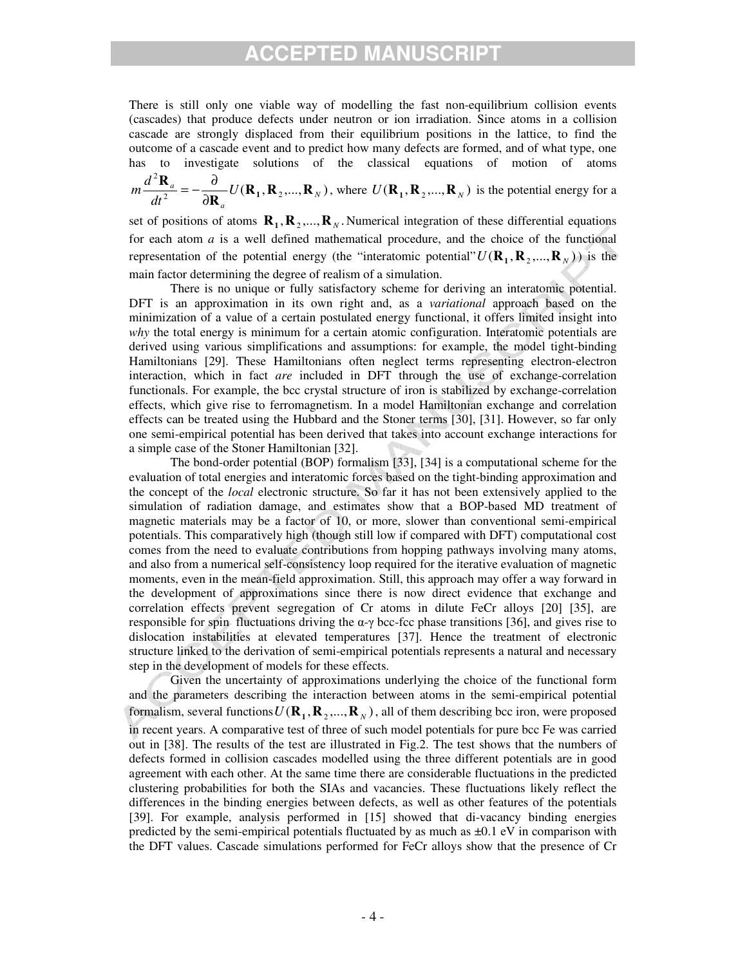There is still only one viable way of modelling the fast non-equilibrium collision events (cascades) that produce defects under neutron or ion irradiation. Since atoms in a collision cascade are strongly displaced from their equilibrium positions in the lattice, to find the outcome of a cascade event and to predict how many defects are formed, and of what type, one has to investigate solutions of the classical equations of motion of atoms

$$
m\frac{d^2\mathbf{R}_a}{dt^2} = -\frac{\partial}{\partial \mathbf{R}_a} U(\mathbf{R}_1, \mathbf{R}_2, ..., \mathbf{R}_N), \text{ where } U(\mathbf{R}_1, \mathbf{R}_2, ..., \mathbf{R}_N) \text{ is the potential energy for a}
$$

set of positions of atoms  $\mathbf{R}_1, \mathbf{R}_2, ..., \mathbf{R}_N$ . Numerical integration of these differential equations for each atom *a* is a well defined mathematical procedure, and the choice of the functional representation of the potential energy (the "interatomic potential"  $U(\mathbf{R}_1, \mathbf{R}_2, ..., \mathbf{R}_N)$ ) is the main factor determining the degree of realism of a simulation.

There is no unique or fully satisfactory scheme for deriving an interatomic potential. DFT is an approximation in its own right and, as a *variational* approach based on the minimization of a value of a certain postulated energy functional, it offers limited insight into *why* the total energy is minimum for a certain atomic configuration. Interatomic potentials are derived using various simplifications and assumptions: for example, the model tight-binding Hamiltonians [29]. These Hamiltonians often neglect terms representing electron-electron interaction, which in fact *are* included in DFT through the use of exchange-correlation functionals. For example, the bcc crystal structure of iron is stabilized by exchange-correlation effects, which give rise to ferromagnetism. In a model Hamiltonian exchange and correlation effects can be treated using the Hubbard and the Stoner terms [30], [31]. However, so far only one semi-empirical potential has been derived that takes into account exchange interactions for a simple case of the Stoner Hamiltonian [32].

The bond-order potential (BOP) formalism [33], [34] is a computational scheme for the evaluation of total energies and interatomic forces based on the tight-binding approximation and the concept of the *local* electronic structure. So far it has not been extensively applied to the simulation of radiation damage, and estimates show that a BOP-based MD treatment of magnetic materials may be a factor of 10, or more, slower than conventional semi-empirical potentials. This comparatively high (though still low if compared with DFT) computational cost comes from the need to evaluate contributions from hopping pathways involving many atoms, and also from a numerical self-consistency loop required for the iterative evaluation of magnetic moments, even in the mean-field approximation. Still, this approach may offer a way forward in the development of approximations since there is now direct evidence that exchange and correlation effects prevent segregation of Cr atoms in dilute FeCr alloys [20] [35], are responsible for spin fluctuations driving the  $\alpha$ - $\gamma$  bcc-fcc phase transitions [36], and gives rise to dislocation instabilities at elevated temperatures [37]. Hence the treatment of electronic structure linked to the derivation of semi-empirical potentials represents a natural and necessary step in the development of models for these effects.

Given the uncertainty of approximations underlying the choice of the functional form and the parameters describing the interaction between atoms in the semi-empirical potential formalism, several functions  $U(\mathbf{R}_1, \mathbf{R}_2, ..., \mathbf{R}_N)$  , all of them describing bcc iron, were proposed in recent years. A comparative test of three of such model potentials for pure bcc Fe was carried out in [38]. The results of the test are illustrated in Fig.2. The test shows that the numbers of defects formed in collision cascades modelled using the three different potentials are in good agreement with each other. At the same time there are considerable fluctuations in the predicted clustering probabilities for both the SIAs and vacancies. These fluctuations likely reflect the differences in the binding energies between defects, as well as other features of the potentials [39]. For example, analysis performed in [15] showed that di-vacancy binding energies predicted by the semi-empirical potentials fluctuated by as much as  $\pm 0.1$  eV in comparison with the DFT values. Cascade simulations performed for FeCr alloys show that the presence of Cr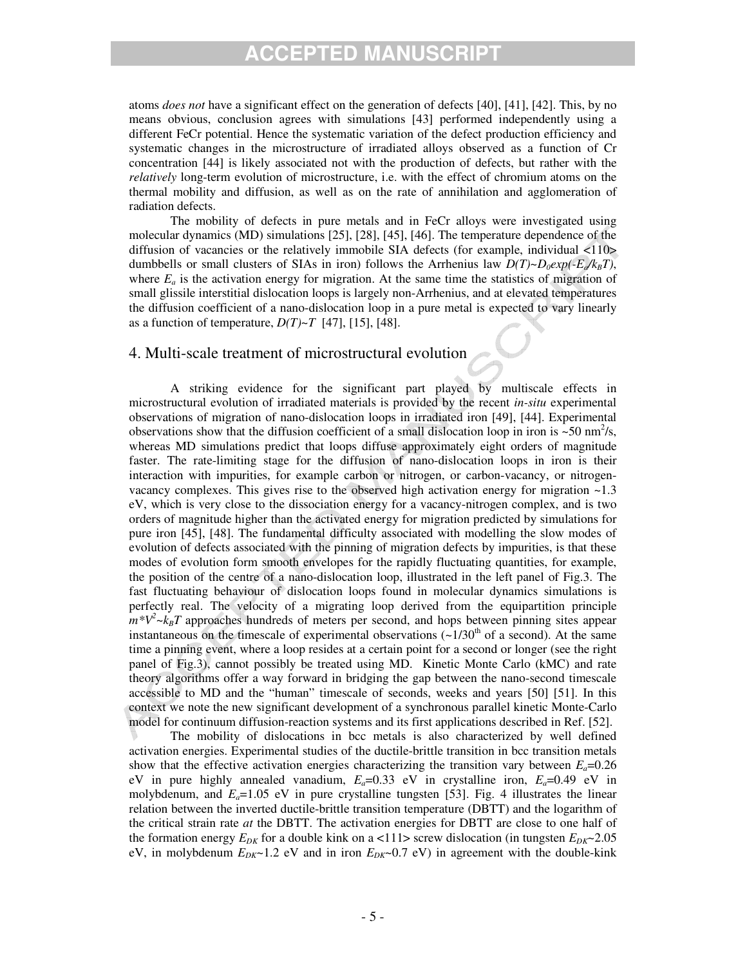atoms *does not* have a significant effect on the generation of defects [40], [41], [42]. This, by no means obvious, conclusion agrees with simulations [43] performed independently using a different FeCr potential. Hence the systematic variation of the defect production efficiency and systematic changes in the microstructure of irradiated alloys observed as a function of Cr concentration [44] is likely associated not with the production of defects, but rather with the *relatively* long-term evolution of microstructure, i.e. with the effect of chromium atoms on the thermal mobility and diffusion, as well as on the rate of annihilation and agglomeration of radiation defects.

The mobility of defects in pure metals and in FeCr alloys were investigated using molecular dynamics (MD) simulations [25], [28], [45], [46]. The temperature dependence of the diffusion of vacancies or the relatively immobile SIA defects (for example, individual  $\langle 110 \rangle$ dumbbells or small clusters of SIAs in iron) follows the Arrhenius law  $D(T) \sim D_0 exp(-E_n / k_B T)$ , where  $E_a$  is the activation energy for migration. At the same time the statistics of migration of small glissile interstitial dislocation loops is largely non-Arrhenius, and at elevated temperatures the diffusion coefficient of a nano-dislocation loop in a pure metal is expected to vary linearly as a function of temperature,  $D(T) \sim T$  [47], [15], [48].

#### 4. Multi-scale treatment of microstructural evolution

A striking evidence for the significant part played by multiscale effects in microstructural evolution of irradiated materials is provided by the recent *in-situ* experimental observations of migration of nano-dislocation loops in irradiated iron [49], [44]. Experimental observations show that the diffusion coefficient of a small dislocation loop in iron is  $\sim$  50 nm<sup>2</sup>/s, whereas MD simulations predict that loops diffuse approximately eight orders of magnitude faster. The rate-limiting stage for the diffusion of nano-dislocation loops in iron is their interaction with impurities, for example carbon or nitrogen, or carbon-vacancy, or nitrogenvacancy complexes. This gives rise to the observed high activation energy for migration ~1.3 eV, which is very close to the dissociation energy for a vacancy-nitrogen complex, and is two orders of magnitude higher than the activated energy for migration predicted by simulations for pure iron [45], [48]. The fundamental difficulty associated with modelling the slow modes of evolution of defects associated with the pinning of migration defects by impurities, is that these modes of evolution form smooth envelopes for the rapidly fluctuating quantities, for example, the position of the centre of a nano-dislocation loop, illustrated in the left panel of Fig.3. The fast fluctuating behaviour of dislocation loops found in molecular dynamics simulations is perfectly real. The velocity of a migrating loop derived from the equipartition principle  $m*V^2 \sim k_B T$  approaches hundreds of meters per second, and hops between pinning sites appear instantaneous on the timescale of experimental observations  $(-1/30<sup>th</sup>$  of a second). At the same time a pinning event, where a loop resides at a certain point for a second or longer (see the right panel of Fig.3), cannot possibly be treated using MD. Kinetic Monte Carlo (kMC) and rate theory algorithms offer a way forward in bridging the gap between the nano-second timescale accessible to MD and the "human" timescale of seconds, weeks and years [50] [51]. In this context we note the new significant development of a synchronous parallel kinetic Monte-Carlo model for continuum diffusion-reaction systems and its first applications described in Ref. [52].

The mobility of dislocations in bcc metals is also characterized by well defined activation energies. Experimental studies of the ductile-brittle transition in bcc transition metals show that the effective activation energies characterizing the transition vary between  $E_a$ =0.26 eV in pure highly annealed vanadium,  $E_a=0.33$  eV in crystalline iron,  $E_a=0.49$  eV in molybdenum, and  $E_a$ =1.05 eV in pure crystalline tungsten [53]. Fig. 4 illustrates the linear relation between the inverted ductile-brittle transition temperature (DBTT) and the logarithm of the critical strain rate *at* the DBTT. The activation energies for DBTT are close to one half of the formation energy  $E_{DK}$  for a double kink on a <111> screw dislocation (in tungsten  $E_{DK}$  ~2.05 eV, in molybdenum  $E_{DK}$ ~1.2 eV and in iron  $E_{DK}$ ~0.7 eV) in agreement with the double-kink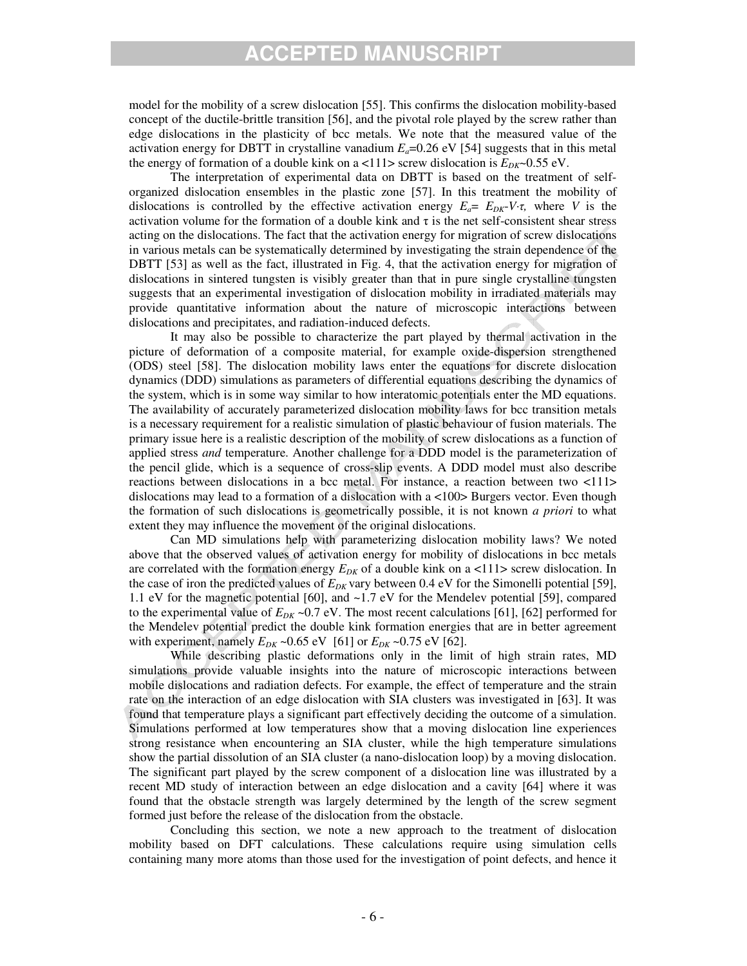model for the mobility of a screw dislocation [55]. This confirms the dislocation mobility-based concept of the ductile-brittle transition [56], and the pivotal role played by the screw rather than edge dislocations in the plasticity of bcc metals. We note that the measured value of the activation energy for DBTT in crystalline vanadium  $E_a$ =0.26 eV [54] suggests that in this metal the energy of formation of a double kink on a <111> screw dislocation is  $E_{DK}$  ~0.55 eV.

The interpretation of experimental data on DBTT is based on the treatment of selforganized dislocation ensembles in the plastic zone [57]. In this treatment the mobility of dislocations is controlled by the effective activation energy  $E_a = E_{DK} - V \tau$ , where *V* is the activation volume for the formation of a double kink and  $\tau$  is the net self-consistent shear stress acting on the dislocations. The fact that the activation energy for migration of screw dislocations in various metals can be systematically determined by investigating the strain dependence of the DBTT [53] as well as the fact, illustrated in Fig. 4, that the activation energy for migration of dislocations in sintered tungsten is visibly greater than that in pure single crystalline tungsten suggests that an experimental investigation of dislocation mobility in irradiated materials may provide quantitative information about the nature of microscopic interactions between dislocations and precipitates, and radiation-induced defects.

It may also be possible to characterize the part played by thermal activation in the picture of deformation of a composite material, for example oxide-dispersion strengthened (ODS) steel [58]. The dislocation mobility laws enter the equations for discrete dislocation dynamics (DDD) simulations as parameters of differential equations describing the dynamics of the system, which is in some way similar to how interatomic potentials enter the MD equations. The availability of accurately parameterized dislocation mobility laws for bcc transition metals is a necessary requirement for a realistic simulation of plastic behaviour of fusion materials. The primary issue here is a realistic description of the mobility of screw dislocations as a function of applied stress *and* temperature. Another challenge for a DDD model is the parameterization of the pencil glide, which is a sequence of cross-slip events. A DDD model must also describe reactions between dislocations in a bcc metal. For instance, a reaction between two <111> dislocations may lead to a formation of a dislocation with a <100> Burgers vector. Even though the formation of such dislocations is geometrically possible, it is not known *a priori* to what extent they may influence the movement of the original dislocations.

Can MD simulations help with parameterizing dislocation mobility laws? We noted above that the observed values of activation energy for mobility of dislocations in bcc metals are correlated with the formation energy  $E_{DK}$  of a double kink on a <111> screw dislocation. In the case of iron the predicted values of  $E_{DK}$  vary between 0.4 eV for the Simonelli potential [59], 1.1 eV for the magnetic potential [60], and ~1.7 eV for the Mendelev potential [59], compared to the experimental value of  $E_{DK} \sim 0.7$  eV. The most recent calculations [61], [62] performed for the Mendelev potential predict the double kink formation energies that are in better agreement with experiment, namely  $E_{DK} \sim 0.65$  eV [61] or  $E_{DK} \sim 0.75$  eV [62].

While describing plastic deformations only in the limit of high strain rates, MD simulations provide valuable insights into the nature of microscopic interactions between mobile dislocations and radiation defects. For example, the effect of temperature and the strain rate on the interaction of an edge dislocation with SIA clusters was investigated in [63]. It was found that temperature plays a significant part effectively deciding the outcome of a simulation. Simulations performed at low temperatures show that a moving dislocation line experiences strong resistance when encountering an SIA cluster, while the high temperature simulations show the partial dissolution of an SIA cluster (a nano-dislocation loop) by a moving dislocation. The significant part played by the screw component of a dislocation line was illustrated by a recent MD study of interaction between an edge dislocation and a cavity [64] where it was found that the obstacle strength was largely determined by the length of the screw segment formed just before the release of the dislocation from the obstacle.

Concluding this section, we note a new approach to the treatment of dislocation mobility based on DFT calculations. These calculations require using simulation cells containing many more atoms than those used for the investigation of point defects, and hence it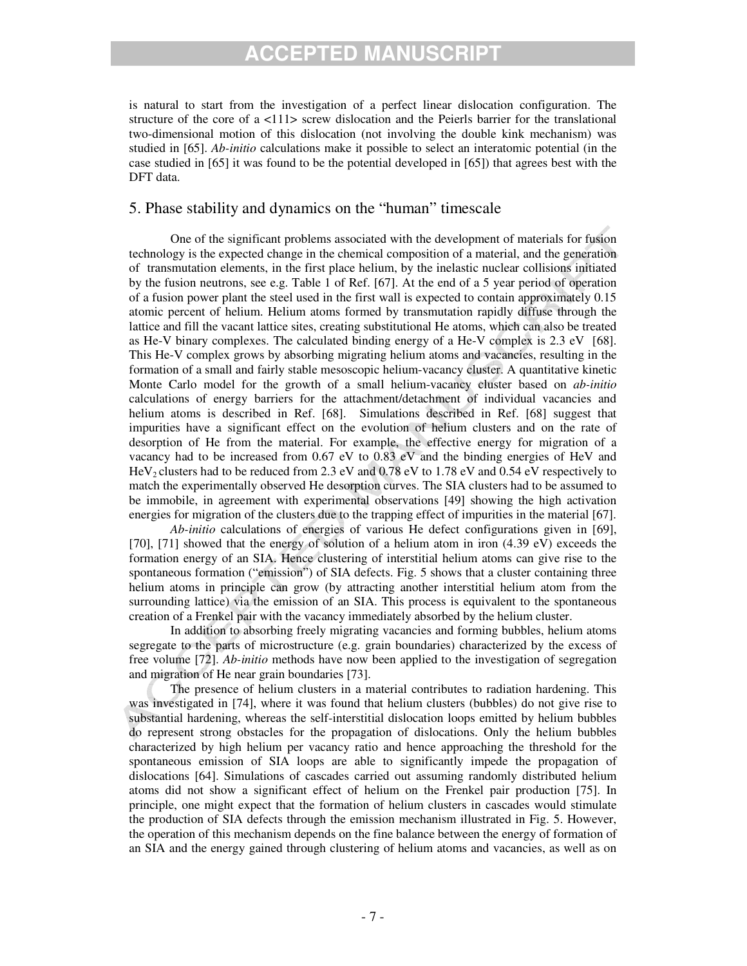is natural to start from the investigation of a perfect linear dislocation configuration. The structure of the core of a <111> screw dislocation and the Peierls barrier for the translational two-dimensional motion of this dislocation (not involving the double kink mechanism) was studied in [65]. *Ab-initio* calculations make it possible to select an interatomic potential (in the case studied in [65] it was found to be the potential developed in [65]) that agrees best with the DFT data.

#### 5. Phase stability and dynamics on the "human" timescale

One of the significant problems associated with the development of materials for fusion technology is the expected change in the chemical composition of a material, and the generation of transmutation elements, in the first place helium, by the inelastic nuclear collisions initiated by the fusion neutrons, see e.g. Table 1 of Ref. [67]. At the end of a 5 year period of operation of a fusion power plant the steel used in the first wall is expected to contain approximately 0.15 atomic percent of helium. Helium atoms formed by transmutation rapidly diffuse through the lattice and fill the vacant lattice sites, creating substitutional He atoms, which can also be treated as He-V binary complexes. The calculated binding energy of a He-V complex is 2.3 eV [68]. This He-V complex grows by absorbing migrating helium atoms and vacancies, resulting in the formation of a small and fairly stable mesoscopic helium-vacancy cluster. A quantitative kinetic Monte Carlo model for the growth of a small helium-vacancy cluster based on *ab-initio* calculations of energy barriers for the attachment/detachment of individual vacancies and helium atoms is described in Ref. [68]. Simulations described in Ref. [68] suggest that impurities have a significant effect on the evolution of helium clusters and on the rate of desorption of He from the material. For example, the effective energy for migration of a vacancy had to be increased from 0.67 eV to 0.83 eV and the binding energies of HeV and HeV<sub>2</sub> clusters had to be reduced from 2.3 eV and 0.78 eV to 1.78 eV and 0.54 eV respectively to match the experimentally observed He desorption curves. The SIA clusters had to be assumed to be immobile, in agreement with experimental observations [49] showing the high activation energies for migration of the clusters due to the trapping effect of impurities in the material [67].

*Ab-initio* calculations of energies of various He defect configurations given in [69], [70], [71] showed that the energy of solution of a helium atom in iron (4.39 eV) exceeds the formation energy of an SIA. Hence clustering of interstitial helium atoms can give rise to the spontaneous formation ("emission") of SIA defects. Fig. 5 shows that a cluster containing three helium atoms in principle can grow (by attracting another interstitial helium atom from the surrounding lattice) via the emission of an SIA. This process is equivalent to the spontaneous creation of a Frenkel pair with the vacancy immediately absorbed by the helium cluster.

In addition to absorbing freely migrating vacancies and forming bubbles, helium atoms segregate to the parts of microstructure (e.g. grain boundaries) characterized by the excess of free volume [72]. *Ab-initio* methods have now been applied to the investigation of segregation and migration of He near grain boundaries [73].

The presence of helium clusters in a material contributes to radiation hardening. This was investigated in [74], where it was found that helium clusters (bubbles) do not give rise to substantial hardening, whereas the self-interstitial dislocation loops emitted by helium bubbles do represent strong obstacles for the propagation of dislocations. Only the helium bubbles characterized by high helium per vacancy ratio and hence approaching the threshold for the spontaneous emission of SIA loops are able to significantly impede the propagation of dislocations [64]. Simulations of cascades carried out assuming randomly distributed helium atoms did not show a significant effect of helium on the Frenkel pair production [75]. In principle, one might expect that the formation of helium clusters in cascades would stimulate the production of SIA defects through the emission mechanism illustrated in Fig. 5. However, the operation of this mechanism depends on the fine balance between the energy of formation of an SIA and the energy gained through clustering of helium atoms and vacancies, as well as on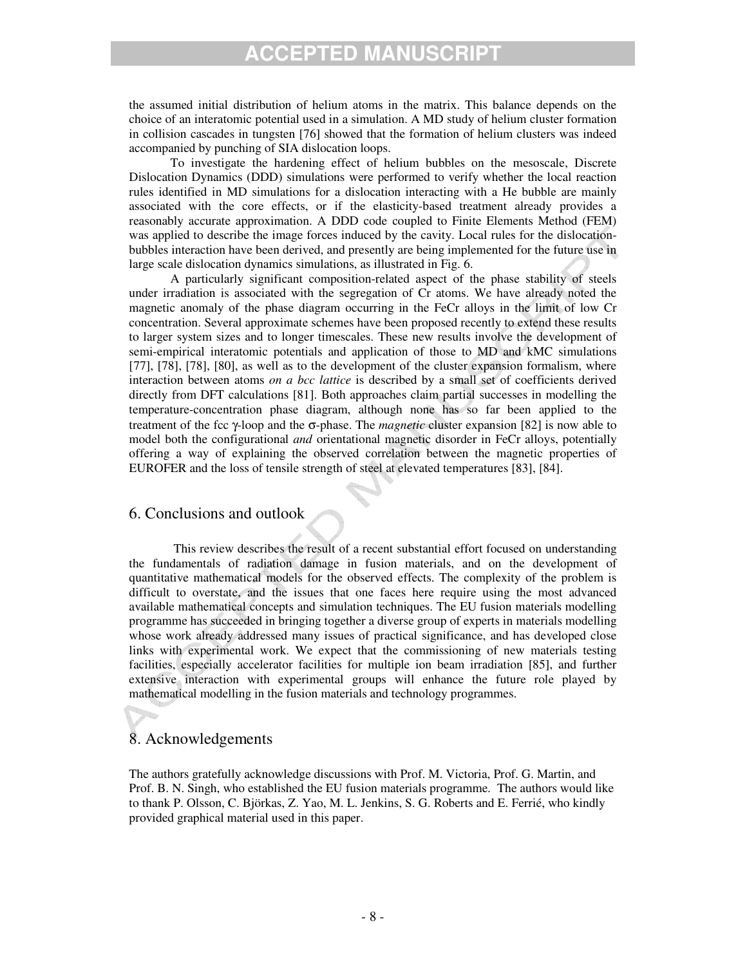the assumed initial distribution of helium atoms in the matrix. This balance depends on the choice of an interatomic potential used in a simulation. A MD study of helium cluster formation in collision cascades in tungsten [76] showed that the formation of helium clusters was indeed accompanied by punching of SIA dislocation loops.

To investigate the hardening effect of helium bubbles on the mesoscale, Discrete Dislocation Dynamics (DDD) simulations were performed to verify whether the local reaction rules identified in MD simulations for a dislocation interacting with a He bubble are mainly associated with the core effects, or if the elasticity-based treatment already provides a reasonably accurate approximation. A DDD code coupled to Finite Elements Method (FEM) was applied to describe the image forces induced by the cavity. Local rules for the dislocationbubbles interaction have been derived, and presently are being implemented for the future use in large scale dislocation dynamics simulations, as illustrated in Fig. 6.

A particularly significant composition-related aspect of the phase stability of steels under irradiation is associated with the segregation of Cr atoms. We have already noted the magnetic anomaly of the phase diagram occurring in the FeCr alloys in the limit of low Cr concentration. Several approximate schemes have been proposed recently to extend these results to larger system sizes and to longer timescales. These new results involve the development of semi-empirical interatomic potentials and application of those to MD and kMC simulations [77], [78], [78], [80], as well as to the development of the cluster expansion formalism, where interaction between atoms *on a bcc lattice* is described by a small set of coefficients derived directly from DFT calculations [81]. Both approaches claim partial successes in modelling the temperature-concentration phase diagram, although none has so far been applied to the treatment of the fcc γ-loop and the σ-phase. The *magnetic* cluster expansion [82] is now able to model both the configurational *and* orientational magnetic disorder in FeCr alloys, potentially offering a way of explaining the observed correlation between the magnetic properties of EUROFER and the loss of tensile strength of steel at elevated temperatures [83], [84].

#### 6. Conclusions and outlook

This review describes the result of a recent substantial effort focused on understanding the fundamentals of radiation damage in fusion materials, and on the development of quantitative mathematical models for the observed effects. The complexity of the problem is difficult to overstate, and the issues that one faces here require using the most advanced available mathematical concepts and simulation techniques. The EU fusion materials modelling programme has succeeded in bringing together a diverse group of experts in materials modelling whose work already addressed many issues of practical significance, and has developed close links with experimental work. We expect that the commissioning of new materials testing facilities, especially accelerator facilities for multiple ion beam irradiation [85], and further extensive interaction with experimental groups will enhance the future role played by mathematical modelling in the fusion materials and technology programmes.

### 8. Acknowledgements

The authors gratefully acknowledge discussions with Prof. M. Victoria, Prof. G. Martin, and Prof. B. N. Singh, who established the EU fusion materials programme. The authors would like to thank P. Olsson, C. Björkas, Z. Yao, M. L. Jenkins, S. G. Roberts and E. Ferrié, who kindly provided graphical material used in this paper.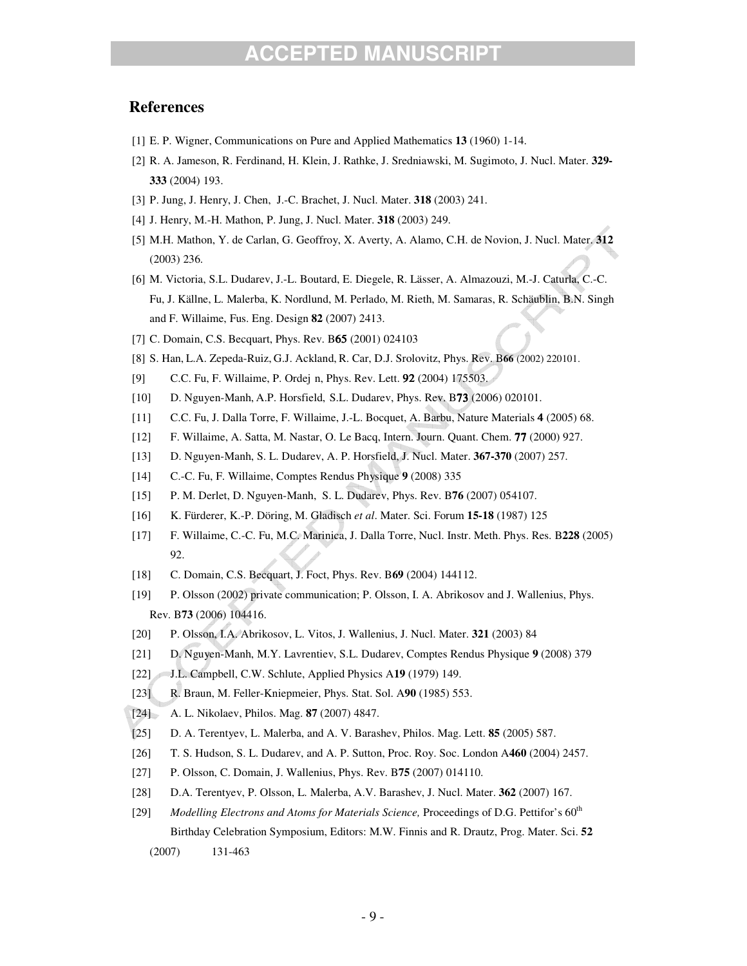#### **References**

- [1] E. P. Wigner, Communications on Pure and Applied Mathematics **13** (1960) 1-14.
- [2] R. A. Jameson, R. Ferdinand, H. Klein, J. Rathke, J. Sredniawski, M. Sugimoto, J. Nucl. Mater. **329- 333** (2004) 193.
- [3] P. Jung, J. Henry, J. Chen, J.-C. Brachet, J. Nucl. Mater. **318** (2003) 241.
- [4] J. Henry, M.-H. Mathon, P. Jung, J. Nucl. Mater. **318** (2003) 249.
- [5] M.H. Mathon, Y. de Carlan, G. Geoffroy, X. Averty, A. Alamo, C.H. de Novion, J. Nucl. Mater. **312** (2003) 236.
- [6] M. Victoria, S.L. Dudarev, J.-L. Boutard, E. Diegele, R. Lässer, A. Almazouzi, M.-J. Caturla, C.-C. Fu, J. Källne, L. Malerba, K. Nordlund, M. Perlado, M. Rieth, M. Samaras, R. Schäublin, B.N. Singh and F. Willaime, Fus. Eng. Design **82** (2007) 2413.
- [7] C. Domain, C.S. Becquart, Phys. Rev. B65 (2001) 024103
- [8] S. Han, L.A. Zepeda-Ruiz, G.J. Ackland, R. Car, D.J. Srolovitz, Phys. Rev. B**66** (2002) 220101.
- [9] C.C. Fu, F. Willaime, P. Ordej n, Phys. Rev. Lett. 92 (2004) 175503.
- [10] D. Nguyen-Manh, A.P. Horsfield, S.L. Dudarev, Phys. Rev. B73 (2006) 020101.
- [11] C.C. Fu, J. Dalla Torre, F. Willaime, J.-L. Bocquet, A. Barbu, Nature Materials 4 (2005) 68.
- [12] F. Willaime, A. Satta, M. Nastar, O. Le Bacq, Intern. Journ. Quant. Chem. 77 (2000) 927.
- [13] D. Nguyen-Manh, S. L. Dudarev, A. P. Horsfield, J. Nucl. Mater. **367-370** (2007) 257.
- [14] C.-C. Fu, F. Willaime, Comptes Rendus Physique **9** (2008) 335
- [15] P. M. Derlet, D. Nguyen-Manh, S. L. Dudarev, Phys. Rev. B**76** (2007) 054107.
- [16] K. Fürderer, K.-P. Döring, M. Gladisch *et al*. Mater. Sci. Forum **15-18** (1987) 125
- [17] F. Willaime, C.-C. Fu, M.C. Marinica, J. Dalla Torre, Nucl. Instr. Meth. Phys. Res. B**228** (2005) 92.
- [18] C. Domain, C.S. Becquart, J. Foct, Phys. Rev. B**69** (2004) 144112.
- [19] P. Olsson (2002) private communication; P. Olsson, I. A. Abrikosov and J. Wallenius, Phys. Rev. B**73** (2006) 104416.
- [20] P. Olsson, I.A. Abrikosov, L. Vitos, J. Wallenius, J. Nucl. Mater. **321** (2003) 84
- [21] D. Nguyen-Manh, M.Y. Lavrentiev, S.L. Dudarev, Comptes Rendus Physique **9** (2008) 379
- [22] J.L. Campbell, C.W. Schlute, Applied Physics A**19** (1979) 149.
- [23] R. Braun, M. Feller-Kniepmeier, Phys. Stat. Sol. A**90** (1985) 553.
- [24] A. L. Nikolaev, Philos. Mag. **87** (2007) 4847.
- [25] D. A. Terentyev, L. Malerba, and A. V. Barashev, Philos. Mag. Lett. **85** (2005) 587.
- [26] T. S. Hudson, S. L. Dudarev, and A. P. Sutton, Proc. Roy. Soc. London A**460** (2004) 2457.
- [27] P. Olsson, C. Domain, J. Wallenius, Phys. Rev. B**75** (2007) 014110.
- [28] D.A. Terentyev, P. Olsson, L. Malerba, A.V. Barashev, J. Nucl. Mater. **362** (2007) 167.
- [29] *Modelling Electrons and Atoms for Materials Science,* Proceedings of D.G. Pettifor's 60 th Birthday Celebration Symposium, Editors: M.W. Finnis and R. Drautz, Prog. Mater. Sci. **52**
	- (2007) 131-463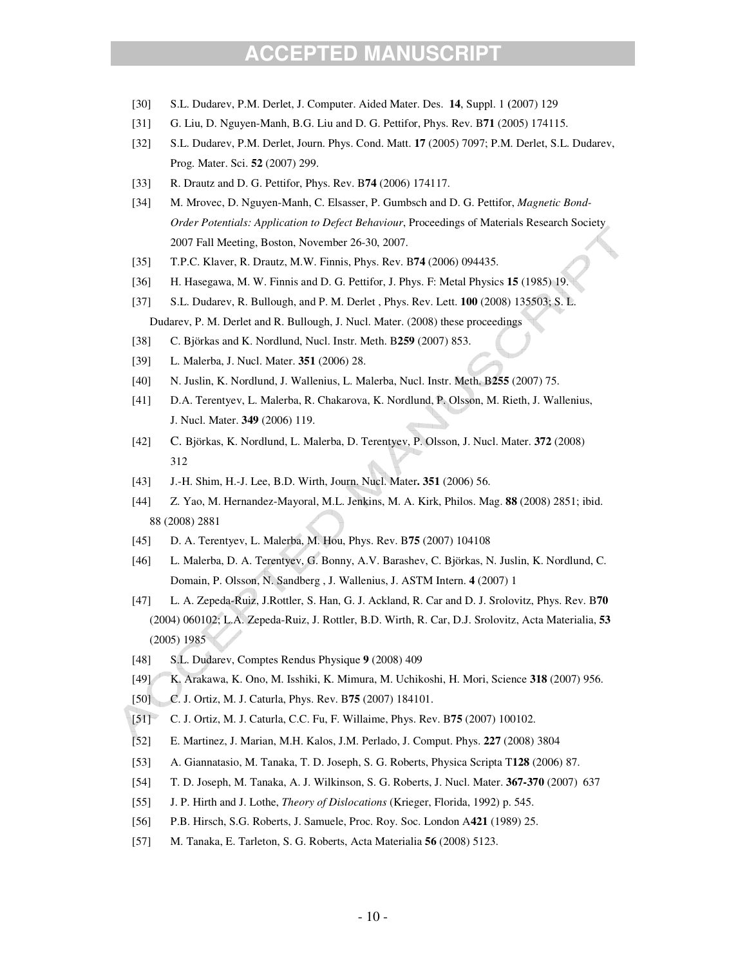- [30] S.L. Dudarev, P.M. Derlet, J. Computer. Aided Mater. Des. **14**, Suppl. 1 **(**2007) 129
- [31] G. Liu, D. Nguyen-Manh, B.G. Liu and D. G. Pettifor, Phys. Rev. B**71** (2005) 174115.
- [32] S.L. Dudarev, P.M. Derlet, Journ. Phys. Cond. Matt. **17** (2005) 7097; P.M. Derlet, S.L. Dudarev, Prog. Mater. Sci. **52** (2007) 299.
- [33] R. Drautz and D. G. Pettifor, Phys. Rev. B**74** (2006) 174117.
- [34] M. Mrovec, D. Nguyen-Manh, C. Elsasser, P. Gumbsch and D. G. Pettifor, *Magnetic Bond-Order Potentials: Application to Defect Behaviour*, Proceedings of Materials Research Society 2007 Fall Meeting, Boston, November 26-30, 2007.
- [35] T.P.C. Klaver, R. Drautz, M.W. Finnis, Phys. Rev. B**74** (2006) 094435.
- [36] H. Hasegawa, M. W. Finnis and D. G. Pettifor, J. Phys. F: Metal Physics **15** (1985) 19.
- [37] S.L. Dudarev, R. Bullough, and P. M. Derlet , Phys. Rev. Lett. **100** (2008) 135503; S. L. Dudarev, P. M. Derlet and R. Bullough, J. Nucl. Mater. (2008) these proceedings
- [38] C. Björkas and K. Nordlund, Nucl. Instr. Meth. B**259** (2007) 853.
- [39] L. Malerba, J. Nucl. Mater. **351** (2006) 28.
- [40] N. Juslin, K. Nordlund, J. Wallenius, L. Malerba, Nucl. Instr. Meth. B**255** (2007) 75.
- [41] D.A. Terentyev, L. Malerba, R. Chakarova, K. Nordlund, P. Olsson, M. Rieth, J. Wallenius, J. Nucl. Mater. **349** (2006) 119.
- [42] C. Björkas, K. Nordlund, L. Malerba, D. Terentyev, P. Olsson, J. Nucl. Mater. **372** (2008) 312
- [43] J.-H. Shim, H.-J. Lee, B.D. Wirth, Journ. Nucl. Mater**. 351** (2006) 56.
- [44] Z. Yao, M. Hernandez-Mayoral, M.L. Jenkins, M. A. Kirk, Philos. Mag. **88** (2008) 2851; ibid. 88 (2008) 2881
- [45] D. A. Terentyev, L. Malerba, M. Hou, Phys. Rev. B**75** (2007) 104108
- [46] L. Malerba, D. A. Terentyev, G. Bonny, A.V. Barashev, C. Björkas, N. Juslin, K. Nordlund, C. Domain, P. Olsson, N. Sandberg , J. Wallenius, J. ASTM Intern. **4** (2007) 1
- [47] L. A. Zepeda-Ruiz, J.Rottler, S. Han, G. J. Ackland, R. Car and D. J. Srolovitz, Phys. Rev. B**70** (2004) 060102; L.A. Zepeda-Ruiz, J. Rottler, B.D. Wirth, R. Car, D.J. Srolovitz, Acta Materialia, **53** (2005) 1985
- [48] S.L. Dudarev, Comptes Rendus Physique **9** (2008) 409
- [49] K. Arakawa, K. Ono, M. Isshiki, K. Mimura, M. Uchikoshi, H. Mori, Science **318** (2007) 956.
- [50] C. J. Ortiz, M. J. Caturla, Phys. Rev. B**75** (2007) 184101.
- [51] C. J. Ortiz, M. J. Caturla, C.C. Fu, F. Willaime, Phys. Rev. B**75** (2007) 100102.
- [52] E. Martinez, J. Marian, M.H. Kalos, J.M. Perlado, J. Comput. Phys. **227** (2008) 3804
- [53] A. Giannatasio, M. Tanaka, T. D. Joseph, S. G. Roberts, Physica Scripta T**128** (2006) 87.
- [54] T. D. Joseph, M. Tanaka, A. J. Wilkinson, S. G. Roberts, J. Nucl. Mater. **367-370** (2007) 637
- [55] J. P. Hirth and J. Lothe, *Theory of Dislocations* (Krieger, Florida, 1992) p. 545.
- [56] P.B. Hirsch, S.G. Roberts, J. Samuele, Proc. Roy. Soc. London A**421** (1989) 25.
- [57] M. Tanaka, E. Tarleton, S. G. Roberts, Acta Materialia **56** (2008) 5123.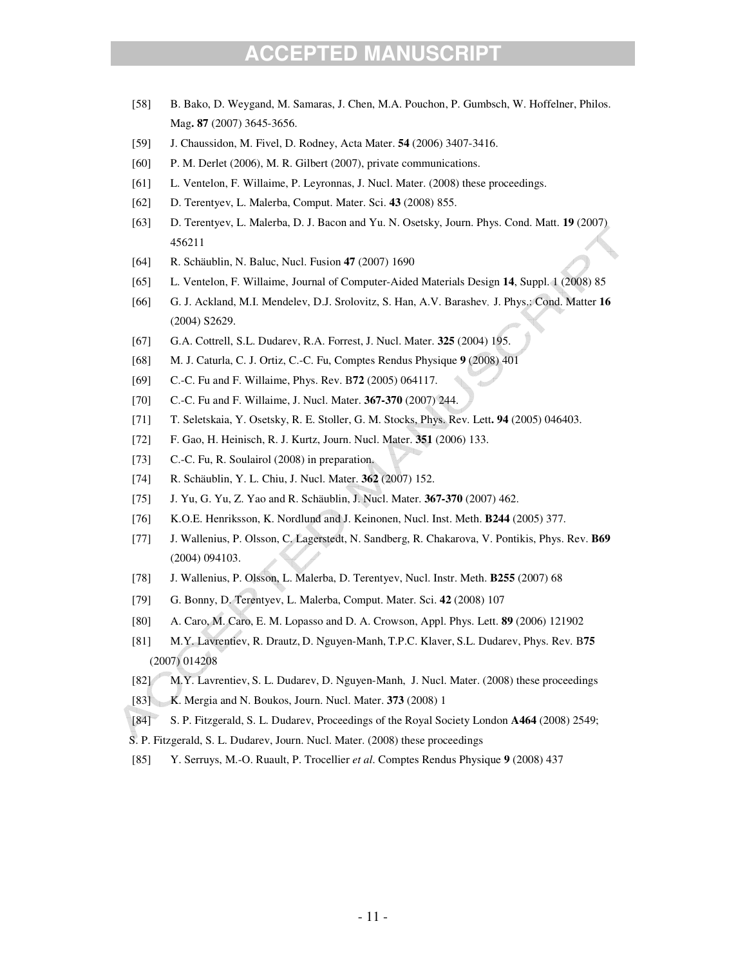- [58] B. Bako, D. Weygand, M. Samaras, J. Chen, M.A. Pouchon, P. Gumbsch, W. Hoffelner, Philos. Mag**. 87** (2007) 3645-3656.
- [59] J. Chaussidon, M. Fivel, D. Rodney, Acta Mater. **54** (2006) 3407-3416.
- [60] P. M. Derlet (2006), M. R. Gilbert (2007), private communications.
- [61] L. Ventelon, F. Willaime, P. Leyronnas, J. Nucl. Mater. (2008) these proceedings.
- [62] D. Terentyev, L. Malerba, Comput. Mater. Sci. **43** (2008) 855.
- [63] D. Terentyev, L. Malerba, D. J. Bacon and Yu. N. Osetsky, Journ. Phys. Cond. Matt. **19** (2007) 456211
- [64] R. Schäublin, N. Baluc, Nucl. Fusion **47** (2007) 1690
- [65] L. Ventelon, F. Willaime, Journal of Computer-Aided Materials Design **14**, Suppl. 1 (2008) 85
- [66] G. J. Ackland, M.I. Mendelev, D.J. Srolovitz, S. Han, A.V. Barashev, J. Phys.: Cond. Matter **16** (2004) S2629.
- [67] G.A. Cottrell, S.L. Dudarev, R.A. Forrest, J. Nucl. Mater. **325** (2004) 195.
- [68] M. J. Caturla, C. J. Ortiz, C.-C. Fu, Comptes Rendus Physique **9** (2008) 401
- [69] C.-C. Fu and F. Willaime, Phys. Rev. B**72** (2005) 064117.
- [70] C.-C. Fu and F. Willaime, J. Nucl. Mater. **367-370** (2007) 244.
- [71] T. Seletskaia, Y. Osetsky, R. E. Stoller, G. M. Stocks, Phys. Rev. Lett**. 94** (2005) 046403.
- [72] F. Gao, H. Heinisch, R. J. Kurtz, Journ. Nucl. Mater. **351** (2006) 133.
- [73] C.-C. Fu, R. Soulairol (2008) in preparation.
- [74] R. Schäublin, Y. L. Chiu, J. Nucl. Mater. **362** (2007) 152.
- [75] J. Yu, G. Yu, Z. Yao and R. Schäublin, J. Nucl. Mater. **367-370** (2007) 462.
- [76] K.O.E. Henriksson, K. Nordlund and J. Keinonen, Nucl. Inst. Meth. **B244** (2005) 377.
- [77] J. Wallenius, P. Olsson, C. Lagerstedt, N. Sandberg, R. Chakarova, V. Pontikis, Phys. Rev. **B69** (2004) 094103.
- [78] J. Wallenius, P. Olsson, L. Malerba, D. Terentyev, Nucl. Instr. Meth. **B255** (2007) 68
- [79] G. Bonny, D. Terentyev, L. Malerba, Comput. Mater. Sci. **42** (2008) 107
- [80] A. Caro, M. Caro, E. M. Lopasso and D. A. Crowson, Appl. Phys. Lett. **89** (2006) 121902
- [81] M.Y. Lavrentiev, R. Drautz, D. Nguyen-Manh, T.P.C. Klaver, S.L. Dudarev, Phys. Rev. B**75** (2007) 014208
- [82] M.Y. Lavrentiev, S. L. Dudarev, D. Nguyen-Manh, J. Nucl. Mater. (2008) these proceedings
- [83] K. Mergia and N. Boukos, Journ. Nucl. Mater. **373** (2008) 1
- [84] S. P. Fitzgerald, S. L. Dudarev, Proceedings of the Royal Society London **A464** (2008) 2549;
- S. P. Fitzgerald, S. L. Dudarev, Journ. Nucl. Mater. (2008) these proceedings
- [85] Y. Serruys, M.-O. Ruault, P. Trocellier *et al*. Comptes Rendus Physique **9** (2008) 437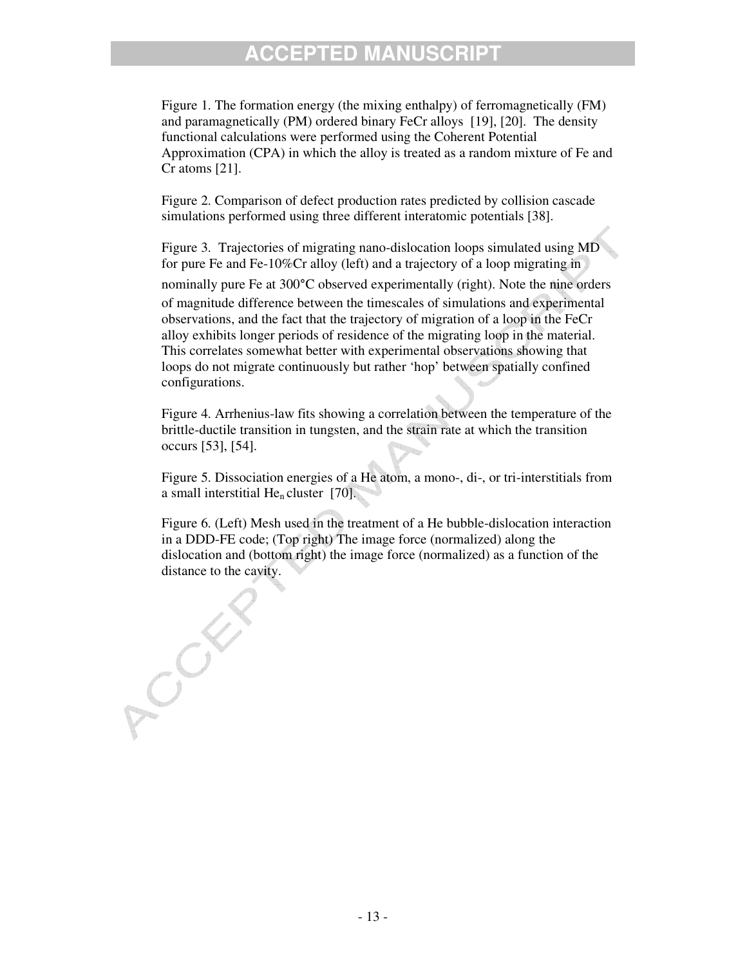Figure 1. The formation energy (the mixing enthalpy) of ferromagnetically (FM) and paramagnetically (PM) ordered binary FeCr alloys [19], [20]. The density functional calculations were performed using the Coherent Potential Approximation (CPA) in which the alloy is treated as a random mixture of Fe and Cr atoms [21].

Figure 2. Comparison of defect production rates predicted by collision cascade simulations performed using three different interatomic potentials [38].

Figure 3. Trajectories of migrating nano-dislocation loops simulated using MD for pure Fe and Fe-10%Cr alloy (left) and a trajectory of a loop migrating in

nominally pure Fe at 300°C observed experimentally (right). Note the nine orders of magnitude difference between the timescales of simulations and experimental observations, and the fact that the trajectory of migration of a loop in the FeCr alloy exhibits longer periods of residence of the migrating loop in the material. This correlates somewhat better with experimental observations showing that loops do not migrate continuously but rather 'hop' between spatially confined configurations.

Figure 4. Arrhenius-law fits showing a correlation between the temperature of the brittle-ductile transition in tungsten, and the strain rate at which the transition occurs [53], [54].

Figure 5. Dissociation energies of a He atom, a mono-, di-, or tri-interstitials from a small interstitial He<sup>n</sup> cluster [70].

Figure 6. (Left) Mesh used in the treatment of a He bubble-dislocation interaction in a DDD-FE code; (Top right) The image force (normalized) along the dislocation and (bottom right) the image force (normalized) as a function of the distance to the cavity.

CER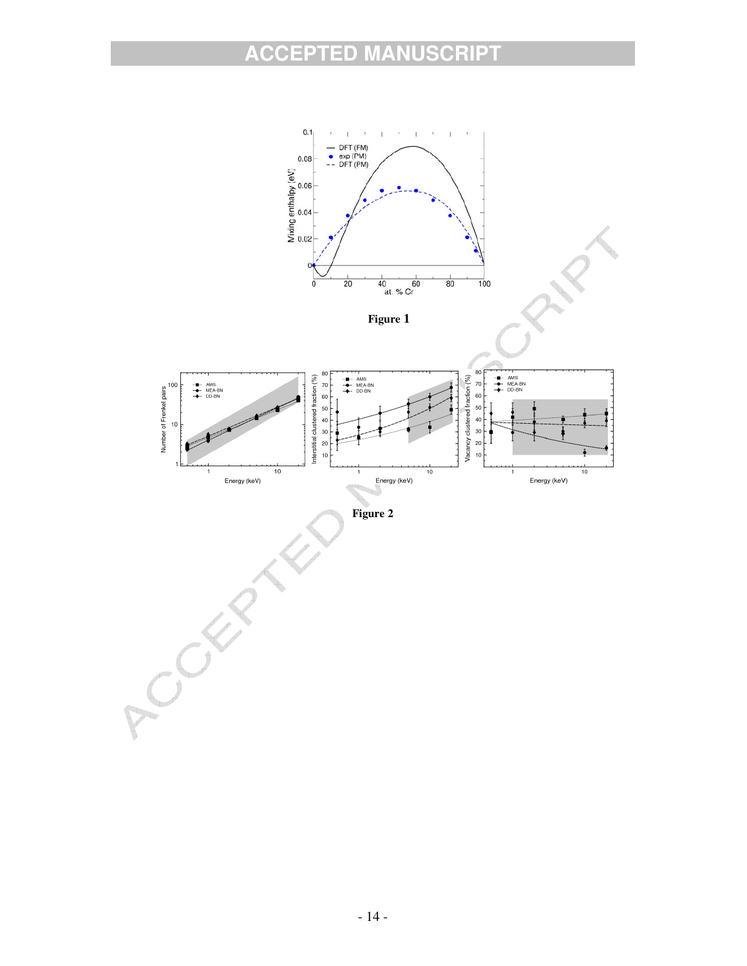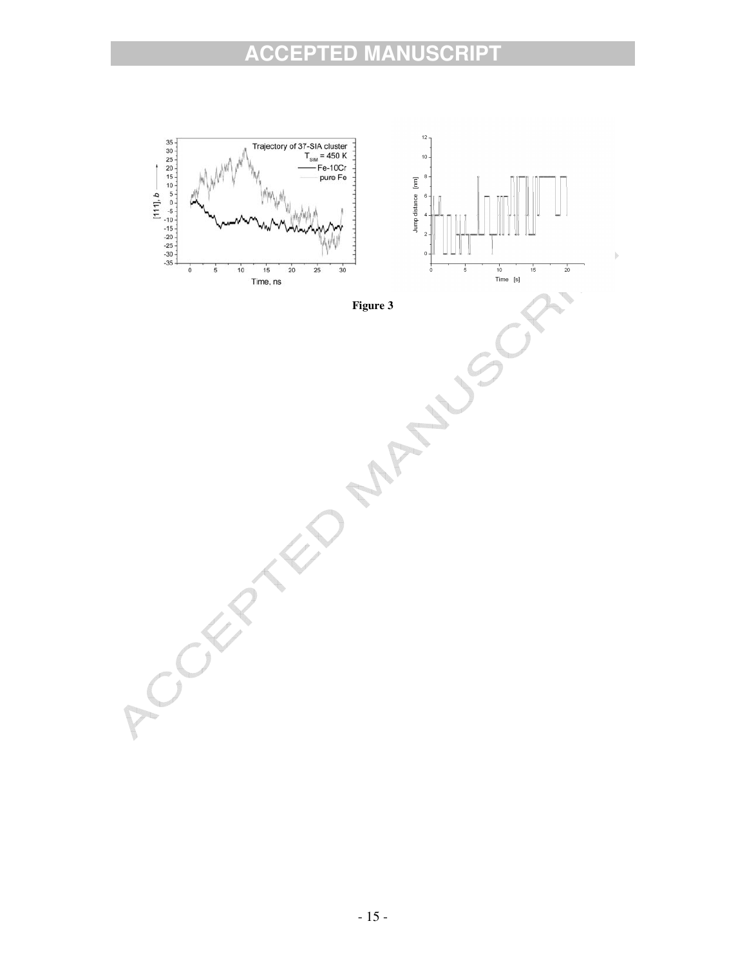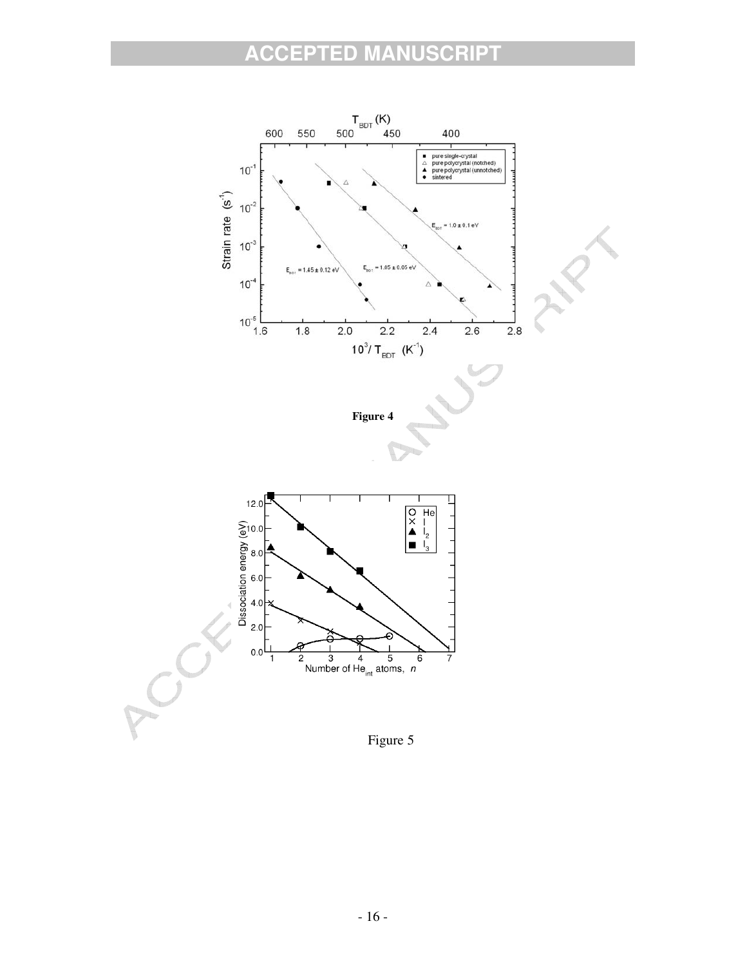